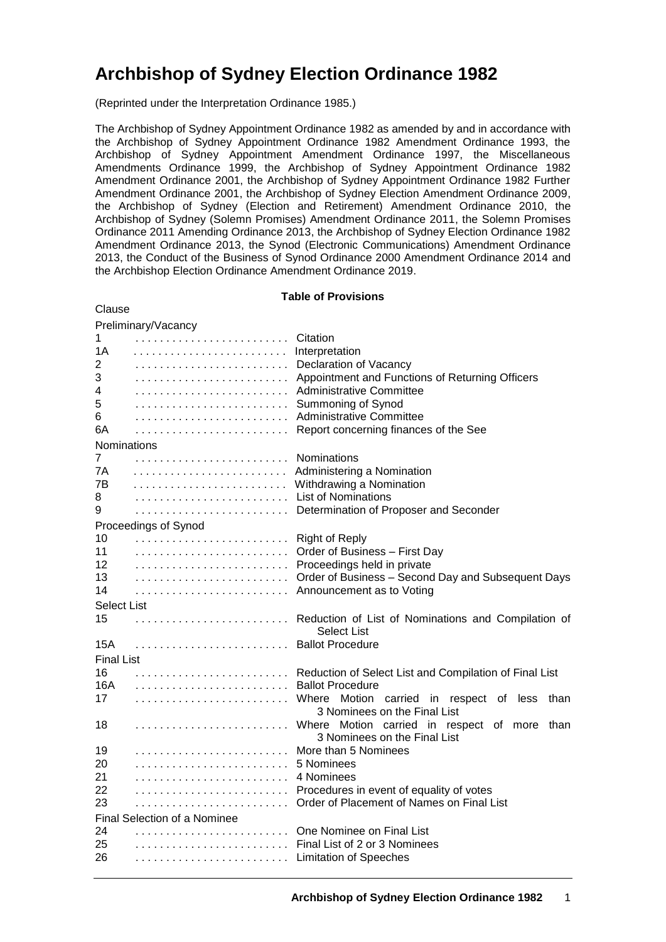# **Archbishop of Sydney Election Ordinance 1982**

(Reprinted under the Interpretation Ordinance 1985.)

The Archbishop of Sydney Appointment Ordinance 1982 as amended by and in accordance with the Archbishop of Sydney Appointment Ordinance 1982 Amendment Ordinance 1993, the Archbishop of Sydney Appointment Amendment Ordinance 1997, the Miscellaneous Amendments Ordinance 1999, the Archbishop of Sydney Appointment Ordinance 1982 Amendment Ordinance 2001, the Archbishop of Sydney Appointment Ordinance 1982 Further Amendment Ordinance 2001, the Archbishop of Sydney Election Amendment Ordinance 2009, the Archbishop of Sydney (Election and Retirement) Amendment Ordinance 2010, the Archbishop of Sydney (Solemn Promises) Amendment Ordinance 2011, the Solemn Promises Ordinance 2011 Amending Ordinance 2013, the Archbishop of Sydney Election Ordinance 1982 Amendment Ordinance 2013, the Synod (Electronic Communications) Amendment Ordinance 2013, the Conduct of the Business of Synod Ordinance 2000 Amendment Ordinance 2014 and the Archbishop Election Ordinance Amendment Ordinance 2019.

|                                     | <b>Table of Provisions</b> |                                                                                   |  |  |  |
|-------------------------------------|----------------------------|-----------------------------------------------------------------------------------|--|--|--|
| Clause                              |                            |                                                                                   |  |  |  |
|                                     | Preliminary/Vacancy        |                                                                                   |  |  |  |
| 1                                   |                            | Citation                                                                          |  |  |  |
| 1Α                                  |                            | Interpretation                                                                    |  |  |  |
| 2                                   |                            | Declaration of Vacancy                                                            |  |  |  |
| 3                                   |                            | Appointment and Functions of Returning Officers                                   |  |  |  |
| 4                                   |                            | Administrative Committee                                                          |  |  |  |
| 5                                   |                            | Summoning of Synod                                                                |  |  |  |
| 6                                   |                            | Administrative Committee                                                          |  |  |  |
| 6A                                  |                            | Report concerning finances of the See                                             |  |  |  |
| Nominations                         |                            |                                                                                   |  |  |  |
| 7                                   |                            | Nominations                                                                       |  |  |  |
| 7Α                                  |                            | Administering a Nomination                                                        |  |  |  |
| 7В                                  |                            | Withdrawing a Nomination                                                          |  |  |  |
| 8                                   |                            | <b>List of Nominations</b>                                                        |  |  |  |
| 9                                   |                            | Determination of Proposer and Seconder                                            |  |  |  |
|                                     | Proceedings of Synod       |                                                                                   |  |  |  |
| 10                                  |                            | <b>Right of Reply</b>                                                             |  |  |  |
| 11<br>12                            |                            | Order of Business - First Day                                                     |  |  |  |
| 13                                  |                            | Proceedings held in private<br>Order of Business - Second Day and Subsequent Days |  |  |  |
| 14                                  |                            | Announcement as to Voting                                                         |  |  |  |
|                                     |                            |                                                                                   |  |  |  |
| Select List<br>15                   |                            |                                                                                   |  |  |  |
|                                     |                            | Reduction of List of Nominations and Compilation of<br>Select List                |  |  |  |
| 15A                                 |                            | <b>Ballot Procedure</b>                                                           |  |  |  |
| <b>Final List</b>                   |                            |                                                                                   |  |  |  |
| 16                                  |                            | Reduction of Select List and Compilation of Final List                            |  |  |  |
| 16A                                 |                            | <b>Ballot Procedure</b>                                                           |  |  |  |
| 17                                  |                            | Where Motion carried in<br>respect of<br>less<br>than                             |  |  |  |
|                                     |                            | 3 Nominees on the Final List                                                      |  |  |  |
| 18                                  |                            | Where Motion carried in respect of more<br>than                                   |  |  |  |
|                                     |                            | 3 Nominees on the Final List                                                      |  |  |  |
| 19                                  |                            | More than 5 Nominees                                                              |  |  |  |
| 20                                  |                            | 5 Nominees                                                                        |  |  |  |
| 21                                  |                            | 4 Nominees                                                                        |  |  |  |
| 22                                  |                            | Procedures in event of equality of votes                                          |  |  |  |
| 23                                  |                            | Order of Placement of Names on Final List                                         |  |  |  |
| <b>Final Selection of a Nominee</b> |                            |                                                                                   |  |  |  |
| 24                                  |                            | One Nominee on Final List                                                         |  |  |  |
| 25                                  |                            | Final List of 2 or 3 Nominees                                                     |  |  |  |
| 26                                  |                            | <b>Limitation of Speeches</b>                                                     |  |  |  |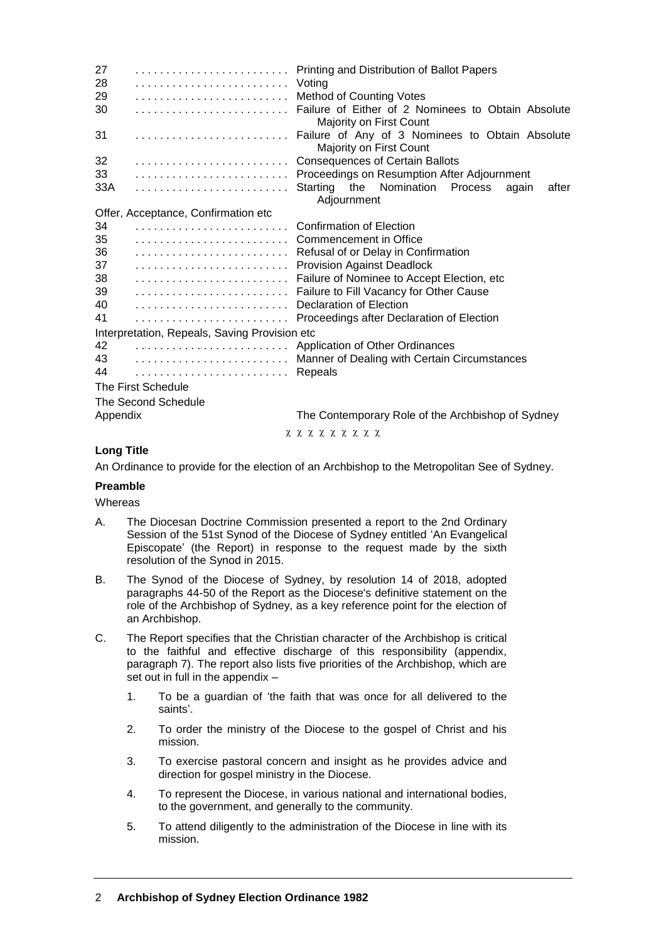| 27<br>28                                      | Printing and Distribution of Ballot Papers                                    |  |  |  |  |
|-----------------------------------------------|-------------------------------------------------------------------------------|--|--|--|--|
| 29                                            | Voting<br><b>Method of Counting Votes</b>                                     |  |  |  |  |
|                                               |                                                                               |  |  |  |  |
| 30                                            | Failure of Either of 2 Nominees to Obtain Absolute<br>Majority on First Count |  |  |  |  |
| 31                                            | Failure of Any of 3 Nominees to Obtain Absolute<br>Majority on First Count    |  |  |  |  |
| 32                                            | <b>Consequences of Certain Ballots</b>                                        |  |  |  |  |
| 33                                            | Proceedings on Resumption After Adjournment                                   |  |  |  |  |
| 33A                                           | Nomination<br>Starting<br>the<br>Process<br>again<br>after<br>Adjournment     |  |  |  |  |
| Offer, Acceptance, Confirmation etc           |                                                                               |  |  |  |  |
| 34                                            | <b>Confirmation of Election</b>                                               |  |  |  |  |
| 35                                            | Commencement in Office                                                        |  |  |  |  |
| 36                                            | Refusal of or Delay in Confirmation                                           |  |  |  |  |
| 37                                            | <b>Provision Against Deadlock</b>                                             |  |  |  |  |
| 38                                            | Failure of Nominee to Accept Election, etc.                                   |  |  |  |  |
| 39                                            | Failure to Fill Vacancy for Other Cause                                       |  |  |  |  |
| 40                                            | Declaration of Election                                                       |  |  |  |  |
| 41                                            | Proceedings after Declaration of Election                                     |  |  |  |  |
| Interpretation, Repeals, Saving Provision etc |                                                                               |  |  |  |  |
| 42                                            | Application of Other Ordinances                                               |  |  |  |  |
| 43                                            | Manner of Dealing with Certain Circumstances                                  |  |  |  |  |
| 44                                            | Repeals                                                                       |  |  |  |  |
| The First Schedule                            |                                                                               |  |  |  |  |
| The Second Schedule                           |                                                                               |  |  |  |  |
| Appendix                                      | The Contemporary Role of the Archbishop of Sydney                             |  |  |  |  |
|                                               | <u>χ χ χ χ χ χ χ χ </u>                                                       |  |  |  |  |

# **Long Title**

An Ordinance to provide for the election of an Archbishop to the Metropolitan See of Sydney.

#### **Preamble**

**Whereas** 

- A. The Diocesan Doctrine Commission presented a report to the 2nd Ordinary Session of the 51st Synod of the Diocese of Sydney entitled 'An Evangelical Episcopate' (the Report) in response to the request made by the sixth resolution of the Synod in 2015.
- B. The Synod of the Diocese of Sydney, by resolution 14 of 2018, adopted paragraphs 44-50 of the Report as the Diocese's definitive statement on the role of the Archbishop of Sydney, as a key reference point for the election of an Archbishop.
- C. The Report specifies that the Christian character of the Archbishop is critical to the faithful and effective discharge of this responsibility (appendix, paragraph 7). The report also lists five priorities of the Archbishop, which are set out in full in the appendix –
	- 1. To be a guardian of 'the faith that was once for all delivered to the saints'.
	- 2. To order the ministry of the Diocese to the gospel of Christ and his mission.
	- 3. To exercise pastoral concern and insight as he provides advice and direction for gospel ministry in the Diocese.
	- 4. To represent the Diocese, in various national and international bodies, to the government, and generally to the community.
	- 5. To attend diligently to the administration of the Diocese in line with its mission.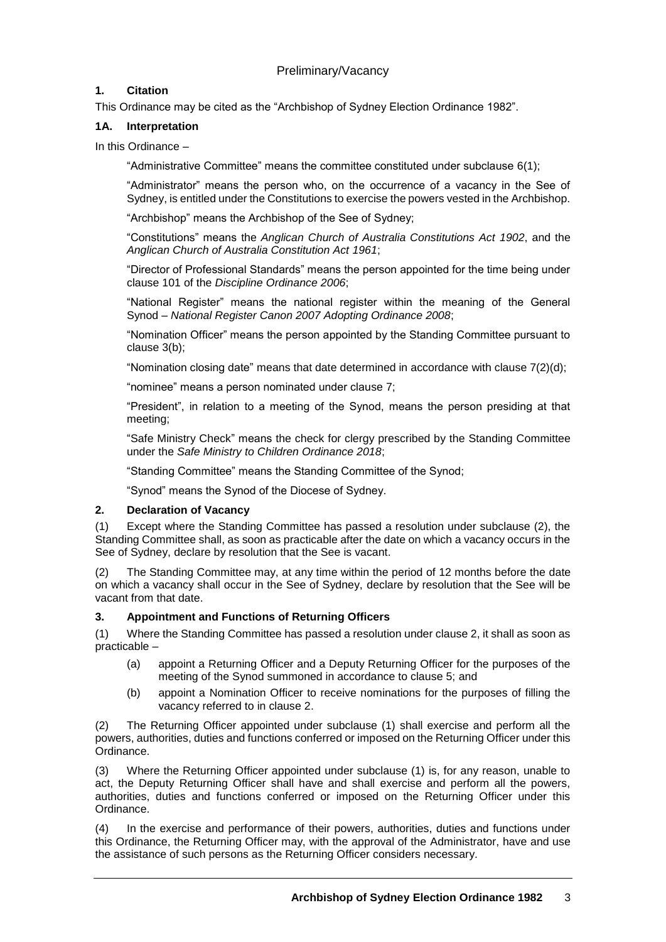# Preliminary/Vacancy

### **1. Citation**

This Ordinance may be cited as the "Archbishop of Sydney Election Ordinance 1982".

### **1A. Interpretation**

In this Ordinance –

"Administrative Committee" means the committee constituted under subclause 6(1);

"Administrator" means the person who, on the occurrence of a vacancy in the See of Sydney, is entitled under the Constitutions to exercise the powers vested in the Archbishop.

"Archbishop" means the Archbishop of the See of Sydney;

"Constitutions" means the *Anglican Church of Australia Constitutions Act 1902*, and the *Anglican Church of Australia Constitution Act 1961*;

"Director of Professional Standards" means the person appointed for the time being under clause 101 of the *Discipline Ordinance 2006*;

"National Register" means the national register within the meaning of the General Synod – *National Register Canon 2007 Adopting Ordinance 2008*;

"Nomination Officer" means the person appointed by the Standing Committee pursuant to clause 3(b);

"Nomination closing date" means that date determined in accordance with clause 7(2)(d);

"nominee" means a person nominated under clause 7;

"President", in relation to a meeting of the Synod, means the person presiding at that meeting;

"Safe Ministry Check" means the check for clergy prescribed by the Standing Committee under the *Safe Ministry to Children Ordinance 2018*;

"Standing Committee" means the Standing Committee of the Synod;

"Synod" means the Synod of the Diocese of Sydney.

### **2. Declaration of Vacancy**

(1) Except where the Standing Committee has passed a resolution under subclause (2), the Standing Committee shall, as soon as practicable after the date on which a vacancy occurs in the See of Sydney, declare by resolution that the See is vacant.

(2) The Standing Committee may, at any time within the period of 12 months before the date on which a vacancy shall occur in the See of Sydney, declare by resolution that the See will be vacant from that date.

### **3. Appointment and Functions of Returning Officers**

(1) Where the Standing Committee has passed a resolution under clause 2, it shall as soon as practicable –

- (a) appoint a Returning Officer and a Deputy Returning Officer for the purposes of the meeting of the Synod summoned in accordance to clause 5; and
- (b) appoint a Nomination Officer to receive nominations for the purposes of filling the vacancy referred to in clause 2.

(2) The Returning Officer appointed under subclause (1) shall exercise and perform all the powers, authorities, duties and functions conferred or imposed on the Returning Officer under this Ordinance.

(3) Where the Returning Officer appointed under subclause (1) is, for any reason, unable to act, the Deputy Returning Officer shall have and shall exercise and perform all the powers, authorities, duties and functions conferred or imposed on the Returning Officer under this Ordinance.

(4) In the exercise and performance of their powers, authorities, duties and functions under this Ordinance, the Returning Officer may, with the approval of the Administrator, have and use the assistance of such persons as the Returning Officer considers necessary.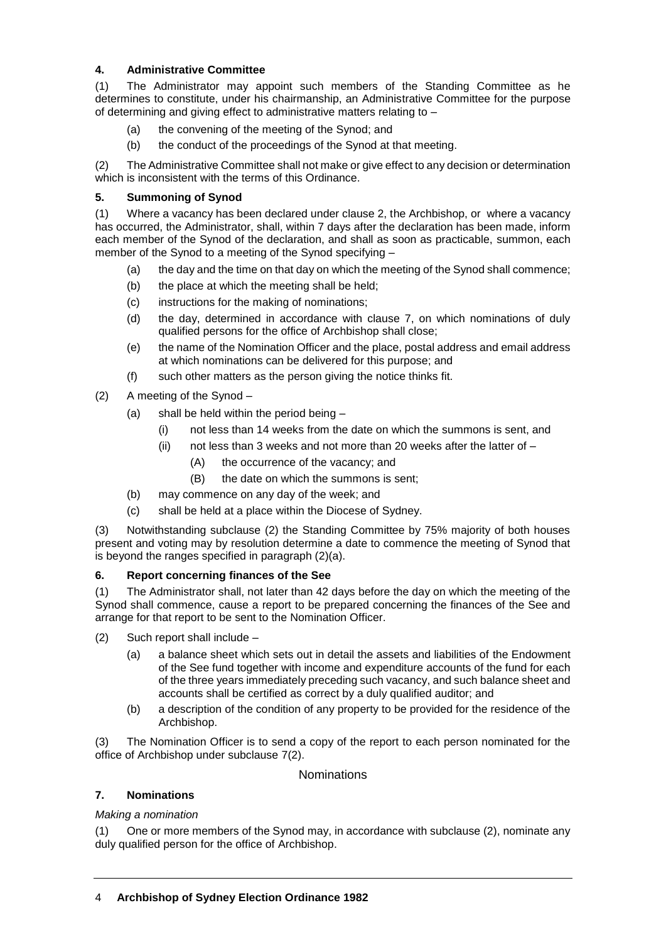# **4. Administrative Committee**

(1) The Administrator may appoint such members of the Standing Committee as he determines to constitute, under his chairmanship, an Administrative Committee for the purpose of determining and giving effect to administrative matters relating to –

- (a) the convening of the meeting of the Synod; and
- (b) the conduct of the proceedings of the Synod at that meeting.

(2) The Administrative Committee shall not make or give effect to any decision or determination which is inconsistent with the terms of this Ordinance.

### **5. Summoning of Synod**

(1) Where a vacancy has been declared under clause 2, the Archbishop, or where a vacancy has occurred, the Administrator, shall, within 7 days after the declaration has been made, inform each member of the Synod of the declaration, and shall as soon as practicable, summon, each member of the Synod to a meeting of the Synod specifying –

- (a) the day and the time on that day on which the meeting of the Synod shall commence;
- (b) the place at which the meeting shall be held;
- (c) instructions for the making of nominations;
- (d) the day, determined in accordance with clause 7, on which nominations of duly qualified persons for the office of Archbishop shall close;
- (e) the name of the Nomination Officer and the place, postal address and email address at which nominations can be delivered for this purpose; and
- (f) such other matters as the person giving the notice thinks fit.
- (2) A meeting of the Synod
	- (a) shall be held within the period being
		- (i) not less than 14 weeks from the date on which the summons is sent, and
		- (ii) not less than 3 weeks and not more than 20 weeks after the latter of  $-$ 
			- (A) the occurrence of the vacancy; and
			- (B) the date on which the summons is sent;
	- (b) may commence on any day of the week; and
	- (c) shall be held at a place within the Diocese of Sydney.

(3) Notwithstanding subclause (2) the Standing Committee by 75% majority of both houses present and voting may by resolution determine a date to commence the meeting of Synod that is beyond the ranges specified in paragraph (2)(a).

### **6. Report concerning finances of the See**

(1) The Administrator shall, not later than 42 days before the day on which the meeting of the Synod shall commence, cause a report to be prepared concerning the finances of the See and arrange for that report to be sent to the Nomination Officer.

- (2) Such report shall include
	- (a) a balance sheet which sets out in detail the assets and liabilities of the Endowment of the See fund together with income and expenditure accounts of the fund for each of the three years immediately preceding such vacancy, and such balance sheet and accounts shall be certified as correct by a duly qualified auditor; and
	- (b) a description of the condition of any property to be provided for the residence of the Archbishop.

(3) The Nomination Officer is to send a copy of the report to each person nominated for the office of Archbishop under subclause 7(2).

### **Nominations**

### **7. Nominations**

### *Making a nomination*

(1) One or more members of the Synod may, in accordance with subclause (2), nominate any duly qualified person for the office of Archbishop.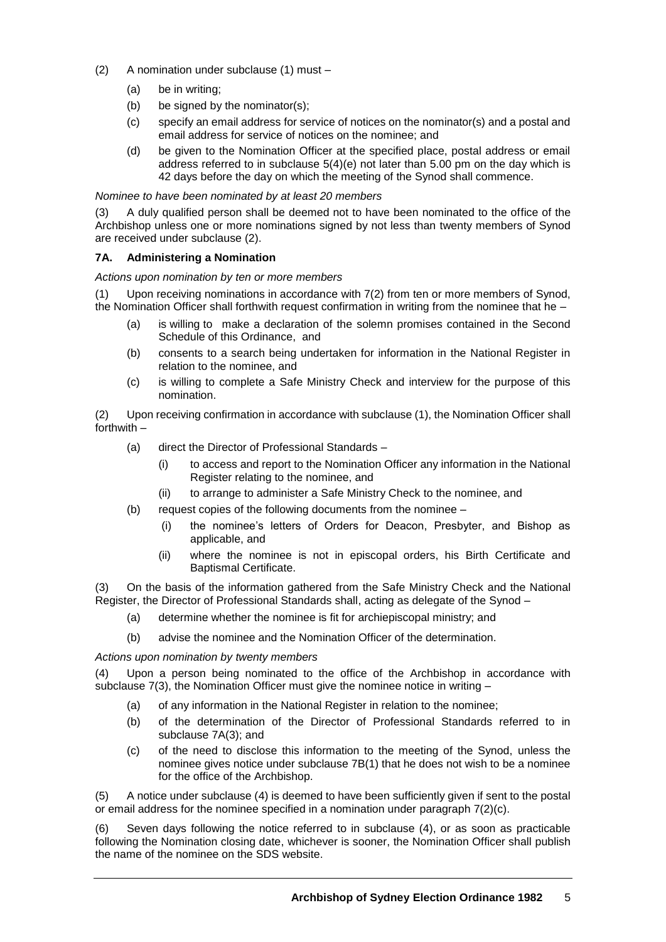- (2) A nomination under subclause (1) must
	- (a) be in writing;
	- (b) be signed by the nominator(s);
	- (c) specify an email address for service of notices on the nominator(s) and a postal and email address for service of notices on the nominee; and
	- (d) be given to the Nomination Officer at the specified place, postal address or email address referred to in subclause 5(4)(e) not later than 5.00 pm on the day which is 42 days before the day on which the meeting of the Synod shall commence.

### *Nominee to have been nominated by at least 20 members*

(3) A duly qualified person shall be deemed not to have been nominated to the office of the Archbishop unless one or more nominations signed by not less than twenty members of Synod are received under subclause (2).

### **7A. Administering a Nomination**

*Actions upon nomination by ten or more members*

(1) Upon receiving nominations in accordance with 7(2) from ten or more members of Synod, the Nomination Officer shall forthwith request confirmation in writing from the nominee that he –

- (a) is willing to make a declaration of the solemn promises contained in the Second Schedule of this Ordinance, and
- (b) consents to a search being undertaken for information in the National Register in relation to the nominee, and
- (c) is willing to complete a Safe Ministry Check and interview for the purpose of this nomination.

(2) Upon receiving confirmation in accordance with subclause (1), the Nomination Officer shall forthwith –

- (a) direct the Director of Professional Standards
	- (i) to access and report to the Nomination Officer any information in the National Register relating to the nominee, and
	- (ii) to arrange to administer a Safe Ministry Check to the nominee, and
- (b) request copies of the following documents from the nominee
	- (i) the nominee's letters of Orders for Deacon, Presbyter, and Bishop as applicable, and
	- (ii) where the nominee is not in episcopal orders, his Birth Certificate and Baptismal Certificate.

(3) On the basis of the information gathered from the Safe Ministry Check and the National Register, the Director of Professional Standards shall, acting as delegate of the Synod –

- (a) determine whether the nominee is fit for archiepiscopal ministry; and
- (b) advise the nominee and the Nomination Officer of the determination.

#### *Actions upon nomination by twenty members*

(4) Upon a person being nominated to the office of the Archbishop in accordance with subclause 7(3), the Nomination Officer must give the nominee notice in writing –

- (a) of any information in the National Register in relation to the nominee;
- (b) of the determination of the Director of Professional Standards referred to in subclause 7A(3); and
- (c) of the need to disclose this information to the meeting of the Synod, unless the nominee gives notice under subclause 7B(1) that he does not wish to be a nominee for the office of the Archbishop.

(5) A notice under subclause (4) is deemed to have been sufficiently given if sent to the postal or email address for the nominee specified in a nomination under paragraph 7(2)(c).

(6) Seven days following the notice referred to in subclause (4), or as soon as practicable following the Nomination closing date, whichever is sooner, the Nomination Officer shall publish the name of the nominee on the SDS website.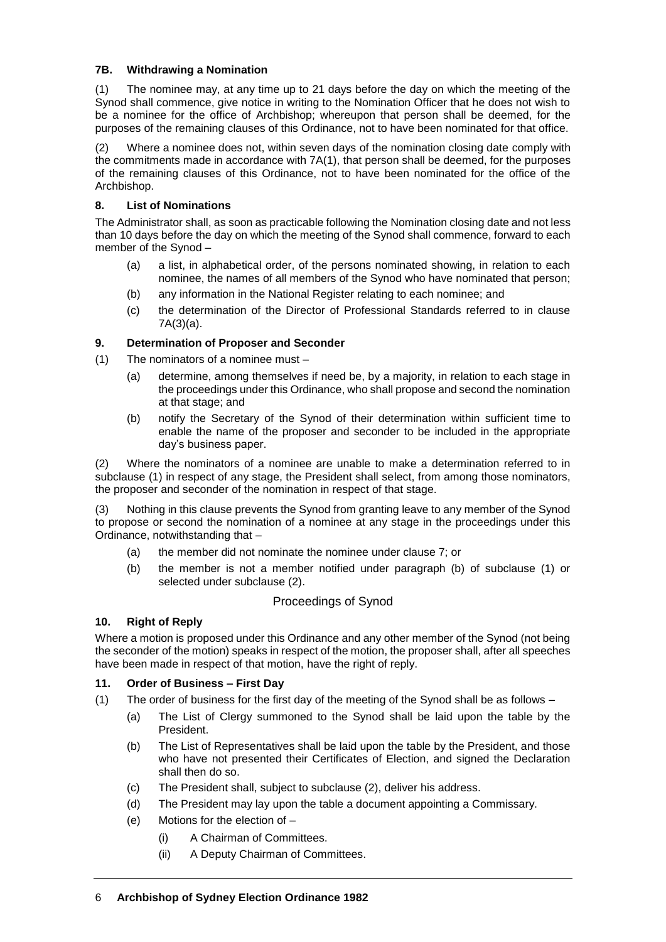### **7B. Withdrawing a Nomination**

(1) The nominee may, at any time up to 21 days before the day on which the meeting of the Synod shall commence, give notice in writing to the Nomination Officer that he does not wish to be a nominee for the office of Archbishop; whereupon that person shall be deemed, for the purposes of the remaining clauses of this Ordinance, not to have been nominated for that office.

(2) Where a nominee does not, within seven days of the nomination closing date comply with the commitments made in accordance with 7A(1), that person shall be deemed, for the purposes of the remaining clauses of this Ordinance, not to have been nominated for the office of the Archbishop.

# **8. List of Nominations**

The Administrator shall, as soon as practicable following the Nomination closing date and not less than 10 days before the day on which the meeting of the Synod shall commence, forward to each member of the Synod –

- (a) a list, in alphabetical order, of the persons nominated showing, in relation to each nominee, the names of all members of the Synod who have nominated that person;
- (b) any information in the National Register relating to each nominee; and
- (c) the determination of the Director of Professional Standards referred to in clause 7A(3)(a).

# **9. Determination of Proposer and Seconder**

- (1) The nominators of a nominee must
	- (a) determine, among themselves if need be, by a majority, in relation to each stage in the proceedings under this Ordinance, who shall propose and second the nomination at that stage; and
	- (b) notify the Secretary of the Synod of their determination within sufficient time to enable the name of the proposer and seconder to be included in the appropriate day's business paper.

(2) Where the nominators of a nominee are unable to make a determination referred to in subclause (1) in respect of any stage, the President shall select, from among those nominators, the proposer and seconder of the nomination in respect of that stage.

(3) Nothing in this clause prevents the Synod from granting leave to any member of the Synod to propose or second the nomination of a nominee at any stage in the proceedings under this Ordinance, notwithstanding that –

- (a) the member did not nominate the nominee under clause 7; or
- (b) the member is not a member notified under paragraph (b) of subclause (1) or selected under subclause (2).

# Proceedings of Synod

# **10. Right of Reply**

Where a motion is proposed under this Ordinance and any other member of the Synod (not being the seconder of the motion) speaks in respect of the motion, the proposer shall, after all speeches have been made in respect of that motion, have the right of reply.

### **11. Order of Business – First Day**

- (1) The order of business for the first day of the meeting of the Synod shall be as follows
	- (a) The List of Clergy summoned to the Synod shall be laid upon the table by the President.
	- (b) The List of Representatives shall be laid upon the table by the President, and those who have not presented their Certificates of Election, and signed the Declaration shall then do so.
	- (c) The President shall, subject to subclause (2), deliver his address.
	- (d) The President may lay upon the table a document appointing a Commissary.
	- (e) Motions for the election of
		- (i) A Chairman of Committees.
		- (ii) A Deputy Chairman of Committees.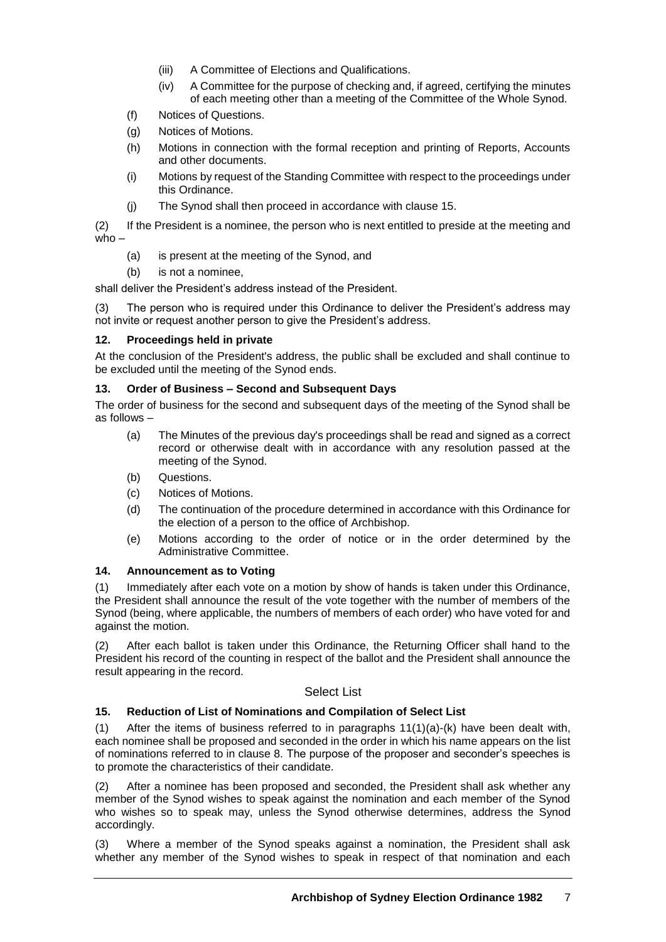- (iii) A Committee of Elections and Qualifications.
- (iv) A Committee for the purpose of checking and, if agreed, certifying the minutes of each meeting other than a meeting of the Committee of the Whole Synod.
- (f) Notices of Questions.
- (g) Notices of Motions.
- (h) Motions in connection with the formal reception and printing of Reports, Accounts and other documents.
- (i) Motions by request of the Standing Committee with respect to the proceedings under this Ordinance.
- (j) The Synod shall then proceed in accordance with clause 15.

(2) If the President is a nominee, the person who is next entitled to preside at the meeting and who –

- (a) is present at the meeting of the Synod, and
- (b) is not a nominee,

shall deliver the President's address instead of the President.

(3) The person who is required under this Ordinance to deliver the President's address may not invite or request another person to give the President's address.

#### **12. Proceedings held in private**

At the conclusion of the President's address, the public shall be excluded and shall continue to be excluded until the meeting of the Synod ends.

#### **13. Order of Business – Second and Subsequent Days**

The order of business for the second and subsequent days of the meeting of the Synod shall be as follows –

- (a) The Minutes of the previous day's proceedings shall be read and signed as a correct record or otherwise dealt with in accordance with any resolution passed at the meeting of the Synod.
- (b) Questions.
- (c) Notices of Motions.
- (d) The continuation of the procedure determined in accordance with this Ordinance for the election of a person to the office of Archbishop.
- (e) Motions according to the order of notice or in the order determined by the Administrative Committee.

#### **14. Announcement as to Voting**

(1) Immediately after each vote on a motion by show of hands is taken under this Ordinance, the President shall announce the result of the vote together with the number of members of the Synod (being, where applicable, the numbers of members of each order) who have voted for and against the motion.

(2) After each ballot is taken under this Ordinance, the Returning Officer shall hand to the President his record of the counting in respect of the ballot and the President shall announce the result appearing in the record.

### Select List

### **15. Reduction of List of Nominations and Compilation of Select List**

(1) After the items of business referred to in paragraphs 11(1)(a)-(k) have been dealt with, each nominee shall be proposed and seconded in the order in which his name appears on the list of nominations referred to in clause 8. The purpose of the proposer and seconder's speeches is to promote the characteristics of their candidate.

(2) After a nominee has been proposed and seconded, the President shall ask whether any member of the Synod wishes to speak against the nomination and each member of the Synod who wishes so to speak may, unless the Synod otherwise determines, address the Synod accordingly.

(3) Where a member of the Synod speaks against a nomination, the President shall ask whether any member of the Synod wishes to speak in respect of that nomination and each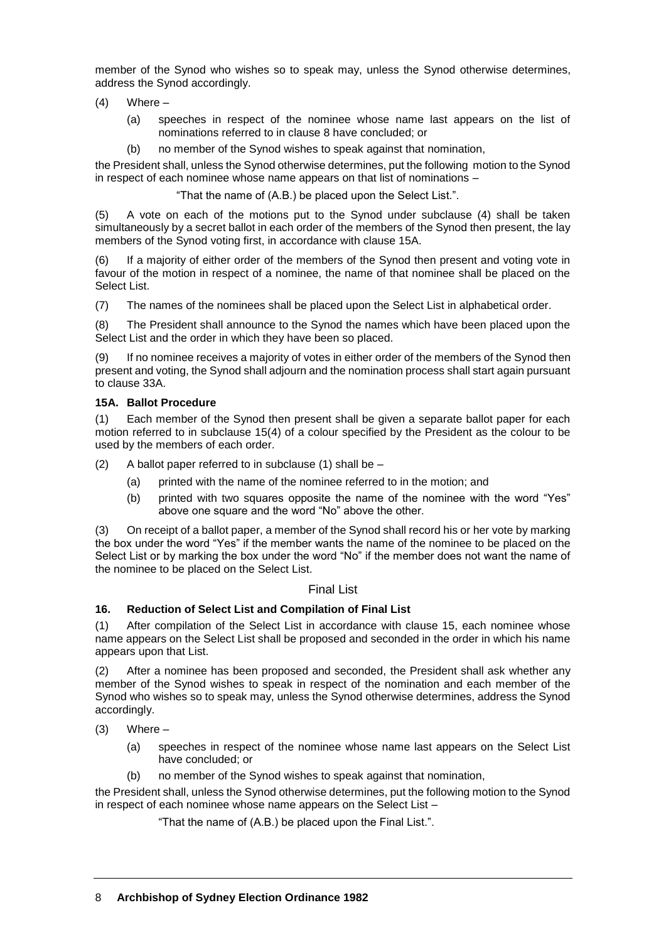member of the Synod who wishes so to speak may, unless the Synod otherwise determines, address the Synod accordingly.

- (4) Where
	- (a) speeches in respect of the nominee whose name last appears on the list of nominations referred to in clause 8 have concluded; or
	- (b) no member of the Synod wishes to speak against that nomination,

the President shall, unless the Synod otherwise determines, put the following motion to the Synod in respect of each nominee whose name appears on that list of nominations –

"That the name of (A.B.) be placed upon the Select List.".

(5) A vote on each of the motions put to the Synod under subclause (4) shall be taken simultaneously by a secret ballot in each order of the members of the Synod then present, the lay members of the Synod voting first, in accordance with clause 15A.

If a majority of either order of the members of the Synod then present and voting vote in favour of the motion in respect of a nominee, the name of that nominee shall be placed on the Select List.

(7) The names of the nominees shall be placed upon the Select List in alphabetical order.

(8) The President shall announce to the Synod the names which have been placed upon the Select List and the order in which they have been so placed.

If no nominee receives a majority of votes in either order of the members of the Synod then present and voting, the Synod shall adjourn and the nomination process shall start again pursuant to clause 33A.

### **15A. Ballot Procedure**

(1) Each member of the Synod then present shall be given a separate ballot paper for each motion referred to in subclause 15(4) of a colour specified by the President as the colour to be used by the members of each order.

 $(2)$  A ballot paper referred to in subclause (1) shall be  $-$ 

- (a) printed with the name of the nominee referred to in the motion; and
- (b) printed with two squares opposite the name of the nominee with the word "Yes" above one square and the word "No" above the other.

(3) On receipt of a ballot paper, a member of the Synod shall record his or her vote by marking the box under the word "Yes" if the member wants the name of the nominee to be placed on the Select List or by marking the box under the word "No" if the member does not want the name of the nominee to be placed on the Select List.

#### Final List

#### **16. Reduction of Select List and Compilation of Final List**

(1) After compilation of the Select List in accordance with clause 15, each nominee whose name appears on the Select List shall be proposed and seconded in the order in which his name appears upon that List.

(2) After a nominee has been proposed and seconded, the President shall ask whether any member of the Synod wishes to speak in respect of the nomination and each member of the Synod who wishes so to speak may, unless the Synod otherwise determines, address the Synod accordingly.

 $(3)$  Where –

- (a) speeches in respect of the nominee whose name last appears on the Select List have concluded; or
- (b) no member of the Synod wishes to speak against that nomination,

the President shall, unless the Synod otherwise determines, put the following motion to the Synod in respect of each nominee whose name appears on the Select List –

"That the name of (A.B.) be placed upon the Final List.".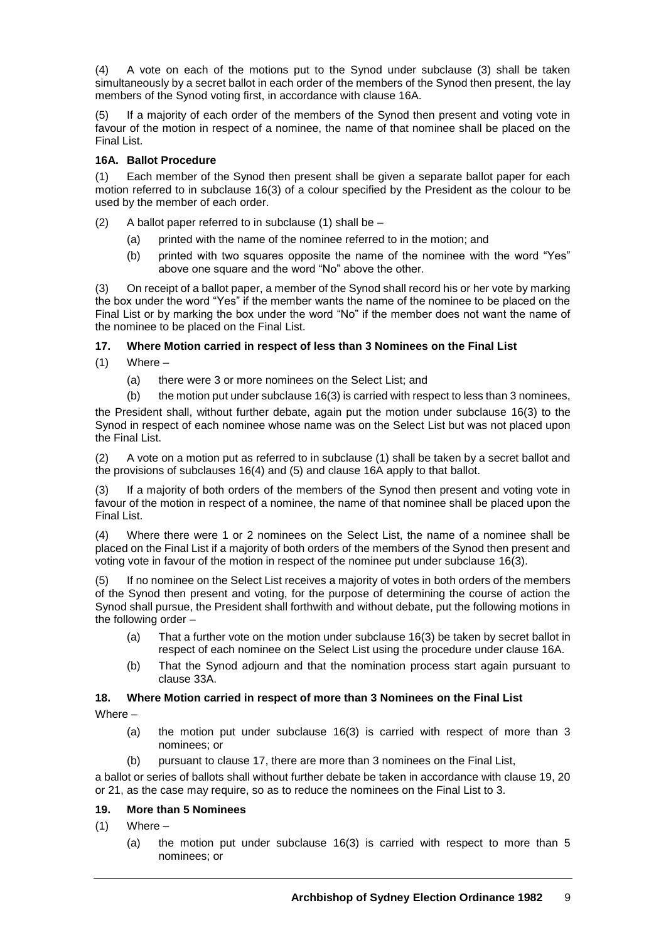(4) A vote on each of the motions put to the Synod under subclause (3) shall be taken simultaneously by a secret ballot in each order of the members of the Synod then present, the lay members of the Synod voting first, in accordance with clause 16A.

(5) If a majority of each order of the members of the Synod then present and voting vote in favour of the motion in respect of a nominee, the name of that nominee shall be placed on the Final List.

# **16A. Ballot Procedure**

(1) Each member of the Synod then present shall be given a separate ballot paper for each motion referred to in subclause 16(3) of a colour specified by the President as the colour to be used by the member of each order.

- $(2)$  A ballot paper referred to in subclause (1) shall be
	- (a) printed with the name of the nominee referred to in the motion; and
	- (b) printed with two squares opposite the name of the nominee with the word "Yes" above one square and the word "No" above the other.

(3) On receipt of a ballot paper, a member of the Synod shall record his or her vote by marking the box under the word "Yes" if the member wants the name of the nominee to be placed on the Final List or by marking the box under the word "No" if the member does not want the name of the nominee to be placed on the Final List.

# **17. Where Motion carried in respect of less than 3 Nominees on the Final List**

 $(1)$  Where –

(a) there were 3 or more nominees on the Select List; and

(b) the motion put under subclause 16(3) is carried with respect to less than 3 nominees,

the President shall, without further debate, again put the motion under subclause 16(3) to the Synod in respect of each nominee whose name was on the Select List but was not placed upon the Final List.

(2) A vote on a motion put as referred to in subclause (1) shall be taken by a secret ballot and the provisions of subclauses 16(4) and (5) and clause 16A apply to that ballot.

(3) If a majority of both orders of the members of the Synod then present and voting vote in favour of the motion in respect of a nominee, the name of that nominee shall be placed upon the Final List.

(4) Where there were 1 or 2 nominees on the Select List, the name of a nominee shall be placed on the Final List if a majority of both orders of the members of the Synod then present and voting vote in favour of the motion in respect of the nominee put under subclause 16(3).

(5) If no nominee on the Select List receives a majority of votes in both orders of the members of the Synod then present and voting, for the purpose of determining the course of action the Synod shall pursue, the President shall forthwith and without debate, put the following motions in the following order –

- (a) That a further vote on the motion under subclause 16(3) be taken by secret ballot in respect of each nominee on the Select List using the procedure under clause 16A.
- (b) That the Synod adjourn and that the nomination process start again pursuant to clause 33A.

### **18. Where Motion carried in respect of more than 3 Nominees on the Final List**

Where –

- (a) the motion put under subclause 16(3) is carried with respect of more than 3 nominees; or
- (b) pursuant to clause 17, there are more than 3 nominees on the Final List,

a ballot or series of ballots shall without further debate be taken in accordance with clause 19, 20 or 21, as the case may require, so as to reduce the nominees on the Final List to 3.

### **19. More than 5 Nominees**

 $(1)$  Where –

(a) the motion put under subclause 16(3) is carried with respect to more than 5 nominees; or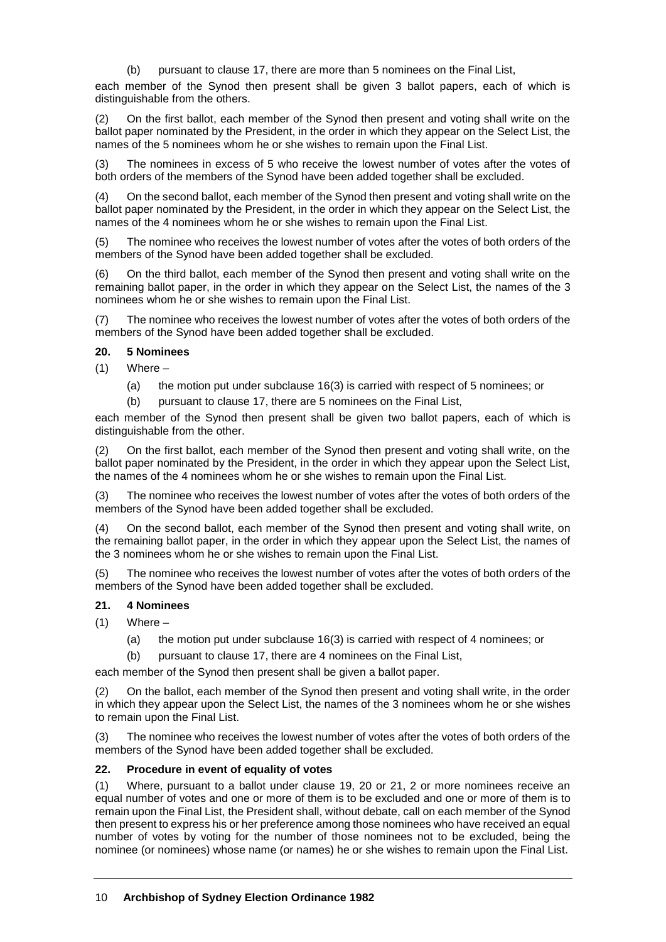(b) pursuant to clause 17, there are more than 5 nominees on the Final List,

each member of the Synod then present shall be given 3 ballot papers, each of which is distinguishable from the others.

(2) On the first ballot, each member of the Synod then present and voting shall write on the ballot paper nominated by the President, in the order in which they appear on the Select List, the names of the 5 nominees whom he or she wishes to remain upon the Final List.

(3) The nominees in excess of 5 who receive the lowest number of votes after the votes of both orders of the members of the Synod have been added together shall be excluded.

(4) On the second ballot, each member of the Synod then present and voting shall write on the ballot paper nominated by the President, in the order in which they appear on the Select List, the names of the 4 nominees whom he or she wishes to remain upon the Final List.

(5) The nominee who receives the lowest number of votes after the votes of both orders of the members of the Synod have been added together shall be excluded.

(6) On the third ballot, each member of the Synod then present and voting shall write on the remaining ballot paper, in the order in which they appear on the Select List, the names of the 3 nominees whom he or she wishes to remain upon the Final List.

(7) The nominee who receives the lowest number of votes after the votes of both orders of the members of the Synod have been added together shall be excluded.

#### **20. 5 Nominees**

 $(1)$  Where –

(a) the motion put under subclause 16(3) is carried with respect of 5 nominees; or

(b) pursuant to clause 17, there are 5 nominees on the Final List,

each member of the Synod then present shall be given two ballot papers, each of which is distinguishable from the other.

On the first ballot, each member of the Synod then present and voting shall write, on the ballot paper nominated by the President, in the order in which they appear upon the Select List, the names of the 4 nominees whom he or she wishes to remain upon the Final List.

(3) The nominee who receives the lowest number of votes after the votes of both orders of the members of the Synod have been added together shall be excluded.

(4) On the second ballot, each member of the Synod then present and voting shall write, on the remaining ballot paper, in the order in which they appear upon the Select List, the names of the 3 nominees whom he or she wishes to remain upon the Final List.

(5) The nominee who receives the lowest number of votes after the votes of both orders of the members of the Synod have been added together shall be excluded.

### **21. 4 Nominees**

- $(1)$  Where
	- (a) the motion put under subclause 16(3) is carried with respect of 4 nominees; or
	- (b) pursuant to clause 17, there are 4 nominees on the Final List,

each member of the Synod then present shall be given a ballot paper.

(2) On the ballot, each member of the Synod then present and voting shall write, in the order in which they appear upon the Select List, the names of the 3 nominees whom he or she wishes to remain upon the Final List.

(3) The nominee who receives the lowest number of votes after the votes of both orders of the members of the Synod have been added together shall be excluded.

#### **22. Procedure in event of equality of votes**

(1) Where, pursuant to a ballot under clause 19, 20 or 21, 2 or more nominees receive an equal number of votes and one or more of them is to be excluded and one or more of them is to remain upon the Final List, the President shall, without debate, call on each member of the Synod then present to express his or her preference among those nominees who have received an equal number of votes by voting for the number of those nominees not to be excluded, being the nominee (or nominees) whose name (or names) he or she wishes to remain upon the Final List.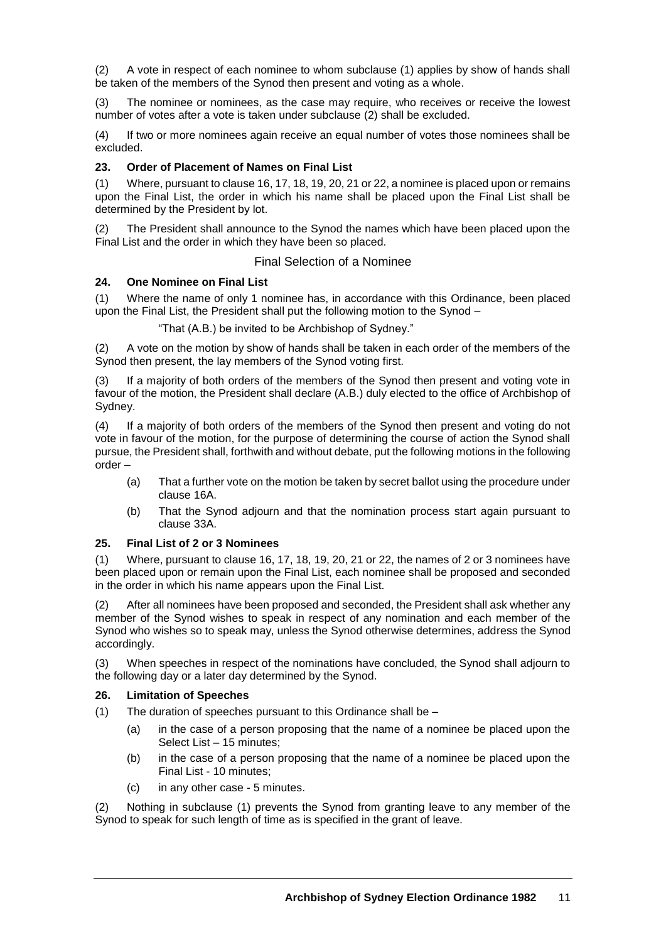(2) A vote in respect of each nominee to whom subclause (1) applies by show of hands shall be taken of the members of the Synod then present and voting as a whole.

(3) The nominee or nominees, as the case may require, who receives or receive the lowest number of votes after a vote is taken under subclause (2) shall be excluded.

(4) If two or more nominees again receive an equal number of votes those nominees shall be excluded.

### **23. Order of Placement of Names on Final List**

(1) Where, pursuant to clause 16, 17, 18, 19, 20, 21 or 22, a nominee is placed upon or remains upon the Final List, the order in which his name shall be placed upon the Final List shall be determined by the President by lot.

(2) The President shall announce to the Synod the names which have been placed upon the Final List and the order in which they have been so placed.

# Final Selection of a Nominee

### **24. One Nominee on Final List**

(1) Where the name of only 1 nominee has, in accordance with this Ordinance, been placed upon the Final List, the President shall put the following motion to the Synod –

"That (A.B.) be invited to be Archbishop of Sydney."

(2) A vote on the motion by show of hands shall be taken in each order of the members of the Synod then present, the lay members of the Synod voting first.

(3) If a majority of both orders of the members of the Synod then present and voting vote in favour of the motion, the President shall declare (A.B.) duly elected to the office of Archbishop of Sydney.

(4) If a majority of both orders of the members of the Synod then present and voting do not vote in favour of the motion, for the purpose of determining the course of action the Synod shall pursue, the President shall, forthwith and without debate, put the following motions in the following order –

- (a) That a further vote on the motion be taken by secret ballot using the procedure under clause 16A.
- (b) That the Synod adjourn and that the nomination process start again pursuant to clause 33A.

### **25. Final List of 2 or 3 Nominees**

(1) Where, pursuant to clause 16, 17, 18, 19, 20, 21 or 22, the names of 2 or 3 nominees have been placed upon or remain upon the Final List, each nominee shall be proposed and seconded in the order in which his name appears upon the Final List.

(2) After all nominees have been proposed and seconded, the President shall ask whether any member of the Synod wishes to speak in respect of any nomination and each member of the Synod who wishes so to speak may, unless the Synod otherwise determines, address the Synod accordingly.

(3) When speeches in respect of the nominations have concluded, the Synod shall adjourn to the following day or a later day determined by the Synod.

### **26. Limitation of Speeches**

- (1) The duration of speeches pursuant to this Ordinance shall be
	- (a) in the case of a person proposing that the name of a nominee be placed upon the Select List – 15 minutes;
	- (b) in the case of a person proposing that the name of a nominee be placed upon the Final List - 10 minutes;
	- (c) in any other case 5 minutes.

(2) Nothing in subclause (1) prevents the Synod from granting leave to any member of the Synod to speak for such length of time as is specified in the grant of leave.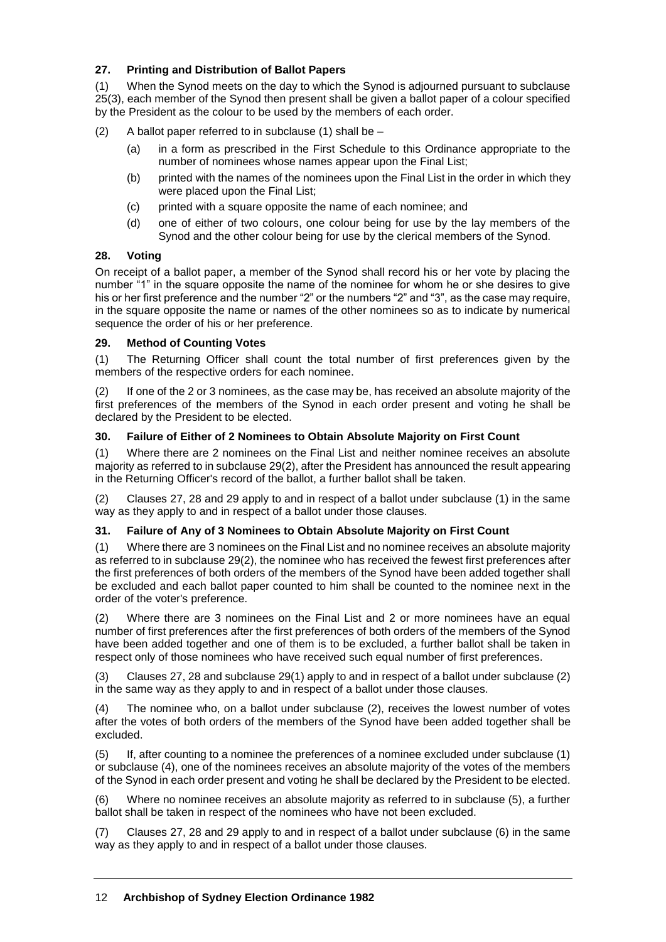# **27. Printing and Distribution of Ballot Papers**

(1) When the Synod meets on the day to which the Synod is adjourned pursuant to subclause 25(3), each member of the Synod then present shall be given a ballot paper of a colour specified by the President as the colour to be used by the members of each order.

(2) A ballot paper referred to in subclause (1) shall be –

- (a) in a form as prescribed in the First Schedule to this Ordinance appropriate to the number of nominees whose names appear upon the Final List;
- (b) printed with the names of the nominees upon the Final List in the order in which they were placed upon the Final List;
- (c) printed with a square opposite the name of each nominee; and
- (d) one of either of two colours, one colour being for use by the lay members of the Synod and the other colour being for use by the clerical members of the Synod.

### **28. Voting**

On receipt of a ballot paper, a member of the Synod shall record his or her vote by placing the number "1" in the square opposite the name of the nominee for whom he or she desires to give his or her first preference and the number "2" or the numbers "2" and "3", as the case may require, in the square opposite the name or names of the other nominees so as to indicate by numerical sequence the order of his or her preference.

### **29. Method of Counting Votes**

(1) The Returning Officer shall count the total number of first preferences given by the members of the respective orders for each nominee.

(2) If one of the 2 or 3 nominees, as the case may be, has received an absolute majority of the first preferences of the members of the Synod in each order present and voting he shall be declared by the President to be elected.

# **30. Failure of Either of 2 Nominees to Obtain Absolute Majority on First Count**

(1) Where there are 2 nominees on the Final List and neither nominee receives an absolute majority as referred to in subclause 29(2), after the President has announced the result appearing in the Returning Officer's record of the ballot, a further ballot shall be taken.

(2) Clauses 27, 28 and 29 apply to and in respect of a ballot under subclause (1) in the same way as they apply to and in respect of a ballot under those clauses.

### **31. Failure of Any of 3 Nominees to Obtain Absolute Majority on First Count**

(1) Where there are 3 nominees on the Final List and no nominee receives an absolute majority as referred to in subclause 29(2), the nominee who has received the fewest first preferences after the first preferences of both orders of the members of the Synod have been added together shall be excluded and each ballot paper counted to him shall be counted to the nominee next in the order of the voter's preference.

(2) Where there are 3 nominees on the Final List and 2 or more nominees have an equal number of first preferences after the first preferences of both orders of the members of the Synod have been added together and one of them is to be excluded, a further ballot shall be taken in respect only of those nominees who have received such equal number of first preferences.

(3) Clauses 27, 28 and subclause 29(1) apply to and in respect of a ballot under subclause (2) in the same way as they apply to and in respect of a ballot under those clauses.

(4) The nominee who, on a ballot under subclause (2), receives the lowest number of votes after the votes of both orders of the members of the Synod have been added together shall be excluded.

(5) If, after counting to a nominee the preferences of a nominee excluded under subclause (1) or subclause (4), one of the nominees receives an absolute majority of the votes of the members of the Synod in each order present and voting he shall be declared by the President to be elected.

(6) Where no nominee receives an absolute majority as referred to in subclause (5), a further ballot shall be taken in respect of the nominees who have not been excluded.

(7) Clauses 27, 28 and 29 apply to and in respect of a ballot under subclause (6) in the same way as they apply to and in respect of a ballot under those clauses.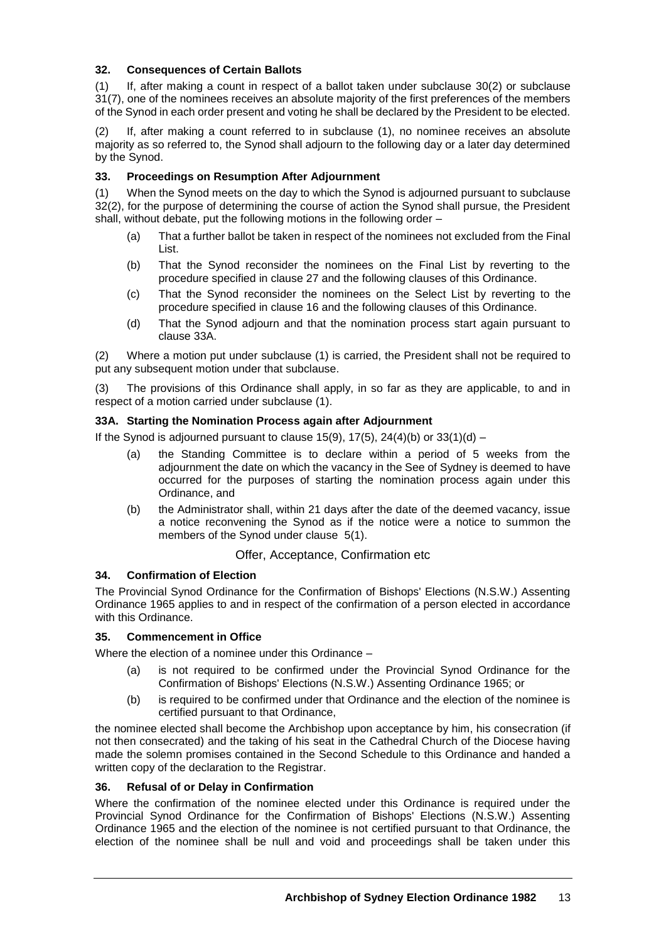### **32. Consequences of Certain Ballots**

(1) If, after making a count in respect of a ballot taken under subclause 30(2) or subclause 31(7), one of the nominees receives an absolute majority of the first preferences of the members of the Synod in each order present and voting he shall be declared by the President to be elected.

(2) If, after making a count referred to in subclause (1), no nominee receives an absolute majority as so referred to, the Synod shall adjourn to the following day or a later day determined by the Synod.

### **33. Proceedings on Resumption After Adjournment**

(1) When the Synod meets on the day to which the Synod is adjourned pursuant to subclause 32(2), for the purpose of determining the course of action the Synod shall pursue, the President shall, without debate, put the following motions in the following order –

- (a) That a further ballot be taken in respect of the nominees not excluded from the Final List.
- (b) That the Synod reconsider the nominees on the Final List by reverting to the procedure specified in clause 27 and the following clauses of this Ordinance.
- (c) That the Synod reconsider the nominees on the Select List by reverting to the procedure specified in clause 16 and the following clauses of this Ordinance.
- (d) That the Synod adjourn and that the nomination process start again pursuant to clause 33A.

(2) Where a motion put under subclause (1) is carried, the President shall not be required to put any subsequent motion under that subclause.

(3) The provisions of this Ordinance shall apply, in so far as they are applicable, to and in respect of a motion carried under subclause (1).

#### **33A. Starting the Nomination Process again after Adjournment**

If the Synod is adjourned pursuant to clause 15(9),  $17(5)$ ,  $24(4)(b)$  or  $33(1)(d)$  –

- (a) the Standing Committee is to declare within a period of 5 weeks from the adjournment the date on which the vacancy in the See of Sydney is deemed to have occurred for the purposes of starting the nomination process again under this Ordinance, and
- (b) the Administrator shall, within 21 days after the date of the deemed vacancy, issue a notice reconvening the Synod as if the notice were a notice to summon the members of the Synod under clause 5(1).

### Offer, Acceptance, Confirmation etc

### **34. Confirmation of Election**

The Provincial Synod Ordinance for the Confirmation of Bishops' Elections (N.S.W.) Assenting Ordinance 1965 applies to and in respect of the confirmation of a person elected in accordance with this Ordinance.

### **35. Commencement in Office**

Where the election of a nominee under this Ordinance –

- (a) is not required to be confirmed under the Provincial Synod Ordinance for the Confirmation of Bishops' Elections (N.S.W.) Assenting Ordinance 1965; or
- (b) is required to be confirmed under that Ordinance and the election of the nominee is certified pursuant to that Ordinance,

the nominee elected shall become the Archbishop upon acceptance by him, his consecration (if not then consecrated) and the taking of his seat in the Cathedral Church of the Diocese having made the solemn promises contained in the Second Schedule to this Ordinance and handed a written copy of the declaration to the Registrar.

#### **36. Refusal of or Delay in Confirmation**

Where the confirmation of the nominee elected under this Ordinance is required under the Provincial Synod Ordinance for the Confirmation of Bishops' Elections (N.S.W.) Assenting Ordinance 1965 and the election of the nominee is not certified pursuant to that Ordinance, the election of the nominee shall be null and void and proceedings shall be taken under this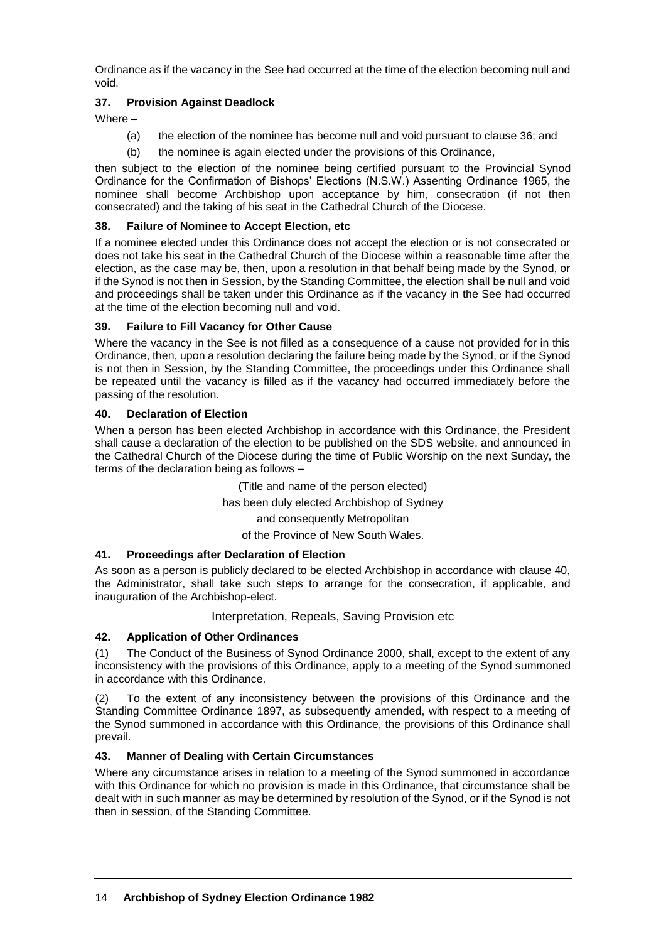Ordinance as if the vacancy in the See had occurred at the time of the election becoming null and void.

# **37. Provision Against Deadlock**

Where –

- (a) the election of the nominee has become null and void pursuant to clause 36; and
- (b) the nominee is again elected under the provisions of this Ordinance,

then subject to the election of the nominee being certified pursuant to the Provincial Synod Ordinance for the Confirmation of Bishops' Elections (N.S.W.) Assenting Ordinance 1965, the nominee shall become Archbishop upon acceptance by him, consecration (if not then consecrated) and the taking of his seat in the Cathedral Church of the Diocese.

### **38. Failure of Nominee to Accept Election, etc**

If a nominee elected under this Ordinance does not accept the election or is not consecrated or does not take his seat in the Cathedral Church of the Diocese within a reasonable time after the election, as the case may be, then, upon a resolution in that behalf being made by the Synod, or if the Synod is not then in Session, by the Standing Committee, the election shall be null and void and proceedings shall be taken under this Ordinance as if the vacancy in the See had occurred at the time of the election becoming null and void.

# **39. Failure to Fill Vacancy for Other Cause**

Where the vacancy in the See is not filled as a consequence of a cause not provided for in this Ordinance, then, upon a resolution declaring the failure being made by the Synod, or if the Synod is not then in Session, by the Standing Committee, the proceedings under this Ordinance shall be repeated until the vacancy is filled as if the vacancy had occurred immediately before the passing of the resolution.

### **40. Declaration of Election**

When a person has been elected Archbishop in accordance with this Ordinance, the President shall cause a declaration of the election to be published on the SDS website, and announced in the Cathedral Church of the Diocese during the time of Public Worship on the next Sunday, the terms of the declaration being as follows –

> (Title and name of the person elected) has been duly elected Archbishop of Sydney and consequently Metropolitan

of the Province of New South Wales.

# **41. Proceedings after Declaration of Election**

As soon as a person is publicly declared to be elected Archbishop in accordance with clause 40, the Administrator, shall take such steps to arrange for the consecration, if applicable, and inauguration of the Archbishop-elect.

### Interpretation, Repeals, Saving Provision etc

# **42. Application of Other Ordinances**

(1) The Conduct of the Business of Synod Ordinance 2000, shall, except to the extent of any inconsistency with the provisions of this Ordinance, apply to a meeting of the Synod summoned in accordance with this Ordinance.

(2) To the extent of any inconsistency between the provisions of this Ordinance and the Standing Committee Ordinance 1897, as subsequently amended, with respect to a meeting of the Synod summoned in accordance with this Ordinance, the provisions of this Ordinance shall prevail.

### **43. Manner of Dealing with Certain Circumstances**

Where any circumstance arises in relation to a meeting of the Synod summoned in accordance with this Ordinance for which no provision is made in this Ordinance, that circumstance shall be dealt with in such manner as may be determined by resolution of the Synod, or if the Synod is not then in session, of the Standing Committee.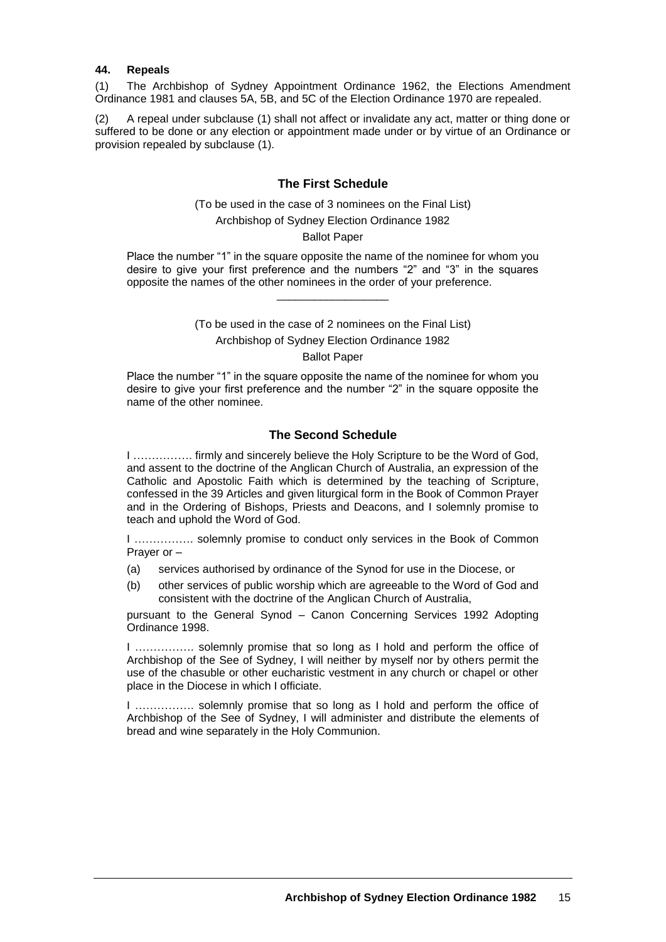#### **44. Repeals**

(1) The Archbishop of Sydney Appointment Ordinance 1962, the Elections Amendment Ordinance 1981 and clauses 5A, 5B, and 5C of the Election Ordinance 1970 are repealed.

(2) A repeal under subclause (1) shall not affect or invalidate any act, matter or thing done or suffered to be done or any election or appointment made under or by virtue of an Ordinance or provision repealed by subclause (1).

#### **The First Schedule**

(To be used in the case of 3 nominees on the Final List)

Archbishop of Sydney Election Ordinance 1982

#### Ballot Paper

Place the number "1" in the square opposite the name of the nominee for whom you desire to give your first preference and the numbers "2" and "3" in the squares opposite the names of the other nominees in the order of your preference.

\_\_\_\_\_\_\_\_\_\_\_\_\_\_\_\_\_\_

(To be used in the case of 2 nominees on the Final List) Archbishop of Sydney Election Ordinance 1982 Ballot Paper

Place the number "1" in the square opposite the name of the nominee for whom you desire to give your first preference and the number "2" in the square opposite the name of the other nominee.

### **The Second Schedule**

I ……………. firmly and sincerely believe the Holy Scripture to be the Word of God, and assent to the doctrine of the Anglican Church of Australia, an expression of the Catholic and Apostolic Faith which is determined by the teaching of Scripture, confessed in the 39 Articles and given liturgical form in the Book of Common Prayer and in the Ordering of Bishops, Priests and Deacons, and I solemnly promise to teach and uphold the Word of God.

I ……………. solemnly promise to conduct only services in the Book of Common Prayer or –

- (a) services authorised by ordinance of the Synod for use in the Diocese, or
- (b) other services of public worship which are agreeable to the Word of God and consistent with the doctrine of the Anglican Church of Australia,

pursuant to the General Synod – Canon Concerning Services 1992 Adopting Ordinance 1998.

I ……………. solemnly promise that so long as I hold and perform the office of Archbishop of the See of Sydney, I will neither by myself nor by others permit the use of the chasuble or other eucharistic vestment in any church or chapel or other place in the Diocese in which I officiate.

I ……………. solemnly promise that so long as I hold and perform the office of Archbishop of the See of Sydney, I will administer and distribute the elements of bread and wine separately in the Holy Communion.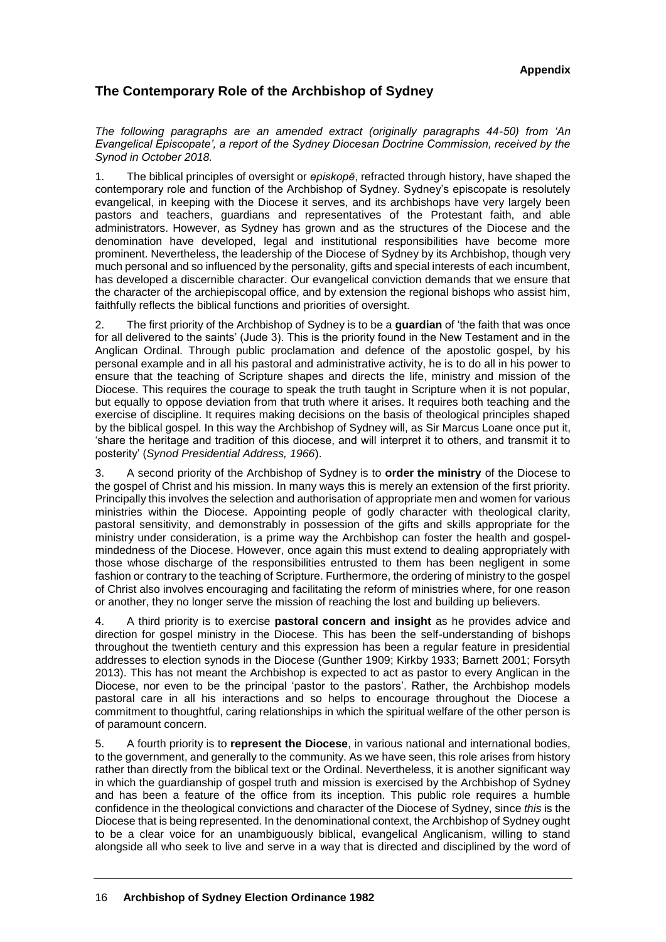# **The Contemporary Role of the Archbishop of Sydney**

*The following paragraphs are an amended extract (originally paragraphs 44-50) from 'An Evangelical Episcopate', a report of the Sydney Diocesan Doctrine Commission, received by the Synod in October 2018.*

1. The biblical principles of oversight or *episkopē*, refracted through history, have shaped the contemporary role and function of the Archbishop of Sydney. Sydney's episcopate is resolutely evangelical, in keeping with the Diocese it serves, and its archbishops have very largely been pastors and teachers, guardians and representatives of the Protestant faith, and able administrators. However, as Sydney has grown and as the structures of the Diocese and the denomination have developed, legal and institutional responsibilities have become more prominent. Nevertheless, the leadership of the Diocese of Sydney by its Archbishop, though very much personal and so influenced by the personality, gifts and special interests of each incumbent, has developed a discernible character. Our evangelical conviction demands that we ensure that the character of the archiepiscopal office, and by extension the regional bishops who assist him, faithfully reflects the biblical functions and priorities of oversight.

2. The first priority of the Archbishop of Sydney is to be a **guardian** of 'the faith that was once for all delivered to the saints' (Jude 3). This is the priority found in the New Testament and in the Anglican Ordinal. Through public proclamation and defence of the apostolic gospel, by his personal example and in all his pastoral and administrative activity, he is to do all in his power to ensure that the teaching of Scripture shapes and directs the life, ministry and mission of the Diocese. This requires the courage to speak the truth taught in Scripture when it is not popular, but equally to oppose deviation from that truth where it arises. It requires both teaching and the exercise of discipline. It requires making decisions on the basis of theological principles shaped by the biblical gospel. In this way the Archbishop of Sydney will, as Sir Marcus Loane once put it, 'share the heritage and tradition of this diocese, and will interpret it to others, and transmit it to posterity' (*Synod Presidential Address, 1966*).

3. A second priority of the Archbishop of Sydney is to **order the ministry** of the Diocese to the gospel of Christ and his mission. In many ways this is merely an extension of the first priority. Principally this involves the selection and authorisation of appropriate men and women for various ministries within the Diocese. Appointing people of godly character with theological clarity, pastoral sensitivity, and demonstrably in possession of the gifts and skills appropriate for the ministry under consideration, is a prime way the Archbishop can foster the health and gospelmindedness of the Diocese. However, once again this must extend to dealing appropriately with those whose discharge of the responsibilities entrusted to them has been negligent in some fashion or contrary to the teaching of Scripture. Furthermore, the ordering of ministry to the gospel of Christ also involves encouraging and facilitating the reform of ministries where, for one reason or another, they no longer serve the mission of reaching the lost and building up believers.

4. A third priority is to exercise **pastoral concern and insight** as he provides advice and direction for gospel ministry in the Diocese. This has been the self-understanding of bishops throughout the twentieth century and this expression has been a regular feature in presidential addresses to election synods in the Diocese (Gunther 1909; Kirkby 1933; Barnett 2001; Forsyth 2013). This has not meant the Archbishop is expected to act as pastor to every Anglican in the Diocese, nor even to be the principal 'pastor to the pastors'. Rather, the Archbishop models pastoral care in all his interactions and so helps to encourage throughout the Diocese a commitment to thoughtful, caring relationships in which the spiritual welfare of the other person is of paramount concern.

5. A fourth priority is to **represent the Diocese**, in various national and international bodies, to the government, and generally to the community. As we have seen, this role arises from history rather than directly from the biblical text or the Ordinal. Nevertheless, it is another significant way in which the guardianship of gospel truth and mission is exercised by the Archbishop of Sydney and has been a feature of the office from its inception. This public role requires a humble confidence in the theological convictions and character of the Diocese of Sydney, since *this* is the Diocese that is being represented. In the denominational context, the Archbishop of Sydney ought to be a clear voice for an unambiguously biblical, evangelical Anglicanism, willing to stand alongside all who seek to live and serve in a way that is directed and disciplined by the word of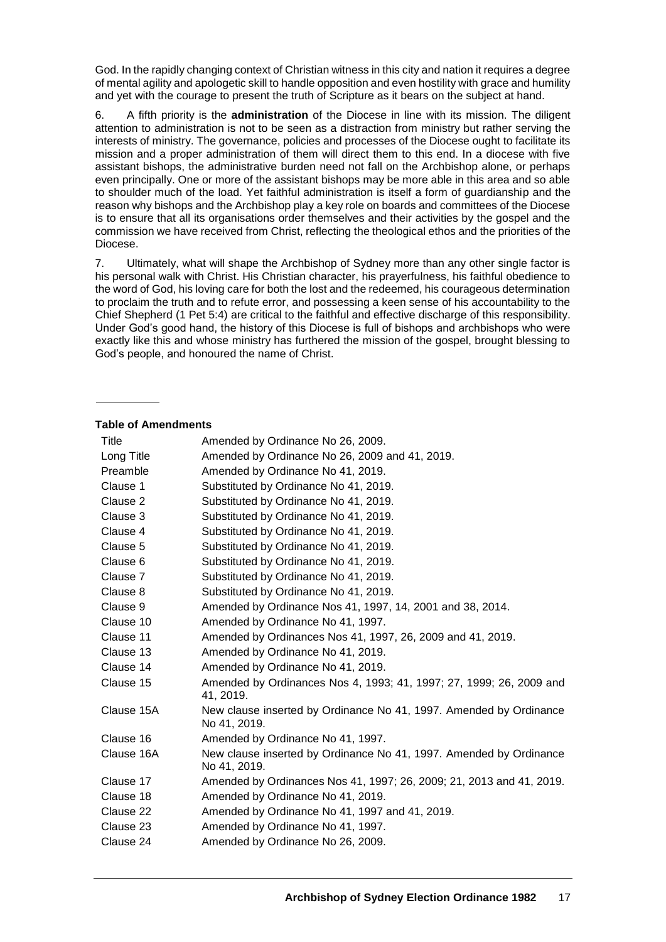God. In the rapidly changing context of Christian witness in this city and nation it requires a degree of mental agility and apologetic skill to handle opposition and even hostility with grace and humility and yet with the courage to present the truth of Scripture as it bears on the subject at hand.

6. A fifth priority is the **administration** of the Diocese in line with its mission. The diligent attention to administration is not to be seen as a distraction from ministry but rather serving the interests of ministry. The governance, policies and processes of the Diocese ought to facilitate its mission and a proper administration of them will direct them to this end. In a diocese with five assistant bishops, the administrative burden need not fall on the Archbishop alone, or perhaps even principally. One or more of the assistant bishops may be more able in this area and so able to shoulder much of the load. Yet faithful administration is itself a form of guardianship and the reason why bishops and the Archbishop play a key role on boards and committees of the Diocese is to ensure that all its organisations order themselves and their activities by the gospel and the commission we have received from Christ, reflecting the theological ethos and the priorities of the Diocese.

7. Ultimately, what will shape the Archbishop of Sydney more than any other single factor is his personal walk with Christ. His Christian character, his prayerfulness, his faithful obedience to the word of God, his loving care for both the lost and the redeemed, his courageous determination to proclaim the truth and to refute error, and possessing a keen sense of his accountability to the Chief Shepherd (1 Pet 5:4) are critical to the faithful and effective discharge of this responsibility. Under God's good hand, the history of this Diocese is full of bishops and archbishops who were exactly like this and whose ministry has furthered the mission of the gospel, brought blessing to God's people, and honoured the name of Christ.

#### **Table of Amendments**

| Title<br>Long Title<br>Preamble<br>Clause 1<br>Clause 2<br>Clause 3 | Amended by Ordinance No 26, 2009.<br>Amended by Ordinance No 26, 2009 and 41, 2019.<br>Amended by Ordinance No 41, 2019.<br>Substituted by Ordinance No 41, 2019.<br>Substituted by Ordinance No 41, 2019.<br>Substituted by Ordinance No 41, 2019. |
|---------------------------------------------------------------------|-----------------------------------------------------------------------------------------------------------------------------------------------------------------------------------------------------------------------------------------------------|
| Clause 4                                                            | Substituted by Ordinance No 41, 2019.                                                                                                                                                                                                               |
| Clause 5                                                            | Substituted by Ordinance No 41, 2019.                                                                                                                                                                                                               |
| Clause 6                                                            | Substituted by Ordinance No 41, 2019.                                                                                                                                                                                                               |
| Clause 7                                                            | Substituted by Ordinance No 41, 2019.                                                                                                                                                                                                               |
| Clause 8                                                            | Substituted by Ordinance No 41, 2019.                                                                                                                                                                                                               |
| Clause 9                                                            | Amended by Ordinance Nos 41, 1997, 14, 2001 and 38, 2014.                                                                                                                                                                                           |
| Clause 10                                                           | Amended by Ordinance No 41, 1997.                                                                                                                                                                                                                   |
| Clause 11                                                           | Amended by Ordinances Nos 41, 1997, 26, 2009 and 41, 2019.                                                                                                                                                                                          |
| Clause 13                                                           | Amended by Ordinance No 41, 2019.                                                                                                                                                                                                                   |
| Clause 14                                                           | Amended by Ordinance No 41, 2019.                                                                                                                                                                                                                   |
| Clause 15                                                           | Amended by Ordinances Nos 4, 1993; 41, 1997; 27, 1999; 26, 2009 and<br>41, 2019.                                                                                                                                                                    |
| Clause 15A                                                          | New clause inserted by Ordinance No 41, 1997. Amended by Ordinance<br>No 41, 2019.                                                                                                                                                                  |
| Clause 16                                                           | Amended by Ordinance No 41, 1997.                                                                                                                                                                                                                   |
| Clause 16A                                                          | New clause inserted by Ordinance No 41, 1997. Amended by Ordinance<br>No 41, 2019.                                                                                                                                                                  |
| Clause 17                                                           | Amended by Ordinances Nos 41, 1997; 26, 2009; 21, 2013 and 41, 2019.                                                                                                                                                                                |
| Clause 18                                                           | Amended by Ordinance No 41, 2019.                                                                                                                                                                                                                   |
| Clause 22                                                           | Amended by Ordinance No 41, 1997 and 41, 2019.                                                                                                                                                                                                      |
| Clause 23                                                           | Amended by Ordinance No 41, 1997.                                                                                                                                                                                                                   |
| Clause 24                                                           | Amended by Ordinance No 26, 2009.                                                                                                                                                                                                                   |